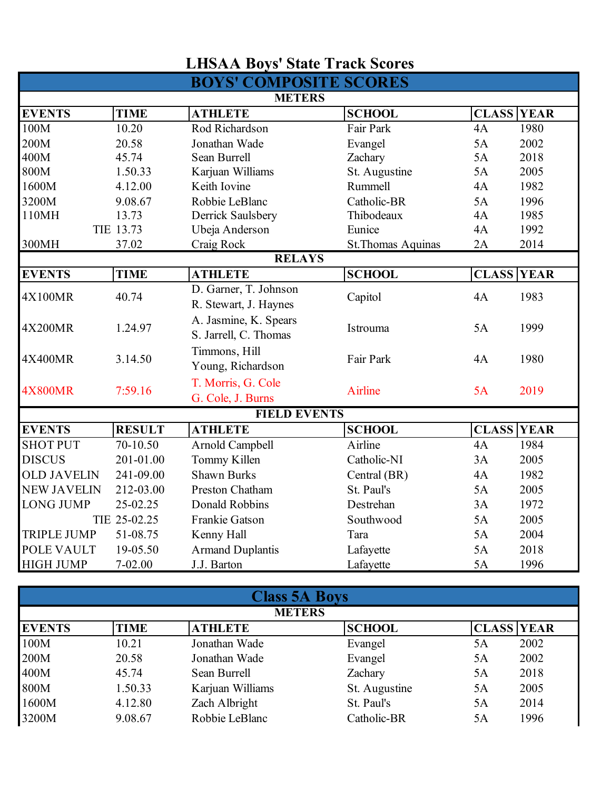|                    |               | <b>LHSAA Boys' State Track Scores</b>          |                    |                   |              |
|--------------------|---------------|------------------------------------------------|--------------------|-------------------|--------------|
|                    |               | <b>BOYS' COMPOSITE SCORES</b>                  |                    |                   |              |
|                    |               | <b>METERS</b>                                  |                    |                   |              |
| <b>EVENTS</b>      | <b>TIME</b>   | <b>ATHLETE</b>                                 | <b>SCHOOL</b>      | <b>CLASS YEAR</b> |              |
| 100M               | 10.20         | Rod Richardson                                 | Fair Park          | 4A                | 1980         |
| 200M               | 20.58         | Jonathan Wade                                  | Evangel            | 5A                | 2002         |
| 400M               | 45.74         | Sean Burrell                                   | Zachary            | 5A                | 2018         |
| 800M               | 1.50.33       | Karjuan Williams                               | St. Augustine      | 5A                | 2005         |
| 1600M              | 4.12.00       | Keith Iovine                                   | Rummell            | 4A                | 1982         |
| 3200M              | 9.08.67       | Robbie LeBlanc                                 | Catholic-BR        | 5A                | 1996         |
| 110MH              | 13.73         | Derrick Saulsbery                              | Thibodeaux         | 4A                | 1985         |
|                    | TIE 13.73     | Ubeja Anderson                                 | Eunice             | 4A                | 1992         |
| 300MH              | 37.02         | Craig Rock                                     | St. Thomas Aquinas | 2A                | 2014         |
|                    |               | <b>RELAYS</b>                                  |                    |                   |              |
| <b>EVENTS</b>      | <b>TIME</b>   | <b>ATHLETE</b>                                 | <b>SCHOOL</b>      | <b>CLASS</b>      | <b>YEAR</b>  |
| 4X100MR            | 40.74         | D. Garner, T. Johnson<br>R. Stewart, J. Haynes | Capitol            | 4A                | 1983         |
| 4X200MR            | 1.24.97       | A. Jasmine, K. Spears<br>S. Jarrell, C. Thomas | Istrouma           | 5A                | 1999         |
| 4X400MR            | 3.14.50       | Timmons, Hill<br>Young, Richardson             | Fair Park          | 4A                | 1980         |
| <b>4X800MR</b>     | 7:59.16       | T. Morris, G. Cole<br>G. Cole, J. Burns        | Airline            | 5A                | 2019         |
|                    |               | <b>FIELD EVENTS</b>                            |                    |                   |              |
| <b>EVENTS</b>      | <b>RESULT</b> | <b>ATHLETE</b>                                 | <b>SCHOOL</b>      | <b>CLASS</b>      | <b>TYEAR</b> |
| <b>SHOT PUT</b>    | 70-10.50      | Arnold Campbell                                | Airline            | 4A                | 1984         |
| <b>DISCUS</b>      | 201-01.00     | Tommy Killen                                   | Catholic-NI        | 3A                | 2005         |
| <b>OLD JAVELIN</b> | 241-09.00     | <b>Shawn Burks</b>                             | Central (BR)       | 4A                | 1982         |
| <b>NEW JAVELIN</b> | 212-03.00     | Preston Chatham                                | St. Paul's         | 5A                | 2005         |
| <b>LONG JUMP</b>   | 25-02.25      | <b>Donald Robbins</b>                          | Destrehan          | 3A                | 1972         |
|                    | TIE 25-02.25  | Frankie Gatson                                 | Southwood          | 5A                | 2005         |
| <b>TRIPLE JUMP</b> | 51-08.75      | Kenny Hall                                     | Tara               | 5A                | 2004         |
| POLE VAULT         | 19-05.50      | <b>Armand Duplantis</b>                        | Lafayette          | 5A                | 2018         |
| <b>HIGH JUMP</b>   | 7-02.00       | J.J. Barton                                    | Lafayette          | 5A                | 1996         |

|               | <b>Class 5A Boys</b> |                  |               |                   |  |  |  |
|---------------|----------------------|------------------|---------------|-------------------|--|--|--|
|               |                      | <b>METERS</b>    |               |                   |  |  |  |
| <b>EVENTS</b> | TIME                 | <b>ATHLETE</b>   | <b>SCHOOL</b> | <b>CLASS YEAR</b> |  |  |  |
| 100M          | 10.21                | Jonathan Wade    | Evangel       | 2002<br>5A        |  |  |  |
| 200M          | 20.58                | Jonathan Wade    | Evangel       | 2002<br>5Α        |  |  |  |
| 400M          | 45.74                | Sean Burrell     | Zachary       | 2018<br>5A        |  |  |  |
| 800M          | 1.50.33              | Karjuan Williams | St. Augustine | 2005<br>5A        |  |  |  |
| 1600M         | 4.12.80              | Zach Albright    | St. Paul's    | 2014<br>5A        |  |  |  |
| 3200M         | 9.08.67              | Robbie LeBlanc   | Catholic-BR   | 1996<br>5A        |  |  |  |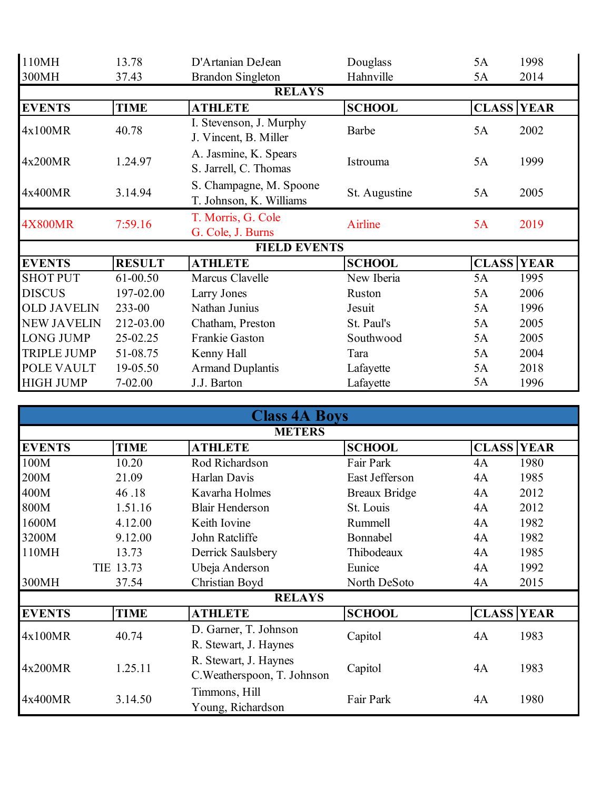| 110MH              | 13.78         | D'Artanian DeJean                                  | Douglass      | 5A                | 1998 |
|--------------------|---------------|----------------------------------------------------|---------------|-------------------|------|
| 300MH              | 37.43         | <b>Brandon Singleton</b>                           | Hahnville     | 5A                | 2014 |
|                    |               | <b>RELAYS</b>                                      |               |                   |      |
| <b>EVENTS</b>      | <b>TIME</b>   | <b>ATHLETE</b>                                     | <b>SCHOOL</b> | <b>CLASS YEAR</b> |      |
| 4x100MR            | 40.78         | I. Stevenson, J. Murphy<br>J. Vincent, B. Miller   | Barbe         | 5A                | 2002 |
| 4x200MR            | 1.24.97       | A. Jasmine, K. Spears<br>S. Jarrell, C. Thomas     | Istrouma      | 5A                | 1999 |
| 4x400MR            | 3.14.94       | S. Champagne, M. Spoone<br>T. Johnson, K. Williams | St. Augustine | 5A                | 2005 |
| <b>4X800MR</b>     | 7:59.16       | T. Morris, G. Cole<br>G. Cole, J. Burns            | Airline       | 5A                | 2019 |
|                    |               | <b>FIELD EVENTS</b>                                |               |                   |      |
| <b>EVENTS</b>      | <b>RESULT</b> | <b>ATHLETE</b>                                     | <b>SCHOOL</b> | <b>CLASS YEAR</b> |      |
| <b>SHOT PUT</b>    | 61-00.50      | Marcus Clavelle                                    | New Iberia    | 5A                | 1995 |
| <b>DISCUS</b>      | 197-02.00     | Larry Jones                                        | Ruston        | 5A                | 2006 |
| <b>OLD JAVELIN</b> | 233-00        | Nathan Junius                                      | Jesuit        | 5A                | 1996 |
| <b>NEW JAVELIN</b> | 212-03.00     | Chatham, Preston                                   | St. Paul's    | 5A                | 2005 |
| <b>LONG JUMP</b>   | 25-02.25      | Frankie Gaston                                     | Southwood     | 5A                | 2005 |
| <b>TRIPLE JUMP</b> | 51-08.75      | Kenny Hall                                         | Tara          | 5A                | 2004 |
| POLE VAULT         | 19-05.50      | <b>Armand Duplantis</b>                            | Lafayette     | 5A                | 2018 |
| <b>HIGH JUMP</b>   | $7 - 02.00$   | J.J. Barton                                        | Lafayette     | 5A                | 1996 |

|               | <b>Class 4A Boys</b> |                                                      |                      |                   |      |  |  |  |
|---------------|----------------------|------------------------------------------------------|----------------------|-------------------|------|--|--|--|
|               | <b>METERS</b>        |                                                      |                      |                   |      |  |  |  |
| <b>EVENTS</b> | <b>TIME</b>          | <b>ATHLETE</b>                                       | <b>SCHOOL</b>        | <b>CLASS YEAR</b> |      |  |  |  |
| 100M          | 10.20                | Rod Richardson                                       | Fair Park            | 4A                | 1980 |  |  |  |
| 200M          | 21.09                | Harlan Davis                                         | East Jefferson       | 4A                | 1985 |  |  |  |
| 400M          | 46.18                | Kavarha Holmes                                       | <b>Breaux Bridge</b> | 4A                | 2012 |  |  |  |
| 800M          | 1.51.16              | <b>Blair Henderson</b>                               | St. Louis            | 4A                | 2012 |  |  |  |
| 1600M         | 4.12.00              | Keith Iovine                                         | Rummell              | 4A                | 1982 |  |  |  |
| 3200M         | 9.12.00              | John Ratcliffe                                       | Bonnabel             | 4A                | 1982 |  |  |  |
| 110MH         | 13.73                | Derrick Saulsbery                                    | Thibodeaux           | 4A                | 1985 |  |  |  |
|               | TIE 13.73            | Ubeja Anderson                                       | Eunice               | 4A                | 1992 |  |  |  |
| 300MH         | 37.54                | Christian Boyd                                       | North DeSoto         | 4A                | 2015 |  |  |  |
|               |                      | <b>RELAYS</b>                                        |                      |                   |      |  |  |  |
| <b>EVENTS</b> | <b>TIME</b>          | <b>ATHLETE</b>                                       | <b>SCHOOL</b>        | <b>CLASS YEAR</b> |      |  |  |  |
| 4x100MR       | 40.74                | D. Garner, T. Johnson<br>R. Stewart, J. Haynes       | Capitol              | 4A                | 1983 |  |  |  |
| 4x200MR       | 1.25.11              | R. Stewart, J. Haynes<br>C. Weatherspoon, T. Johnson | Capitol              | 4A                | 1983 |  |  |  |
| 4x400MR       | 3.14.50              | Timmons, Hill<br>Young, Richardson                   | Fair Park            | 4A                | 1980 |  |  |  |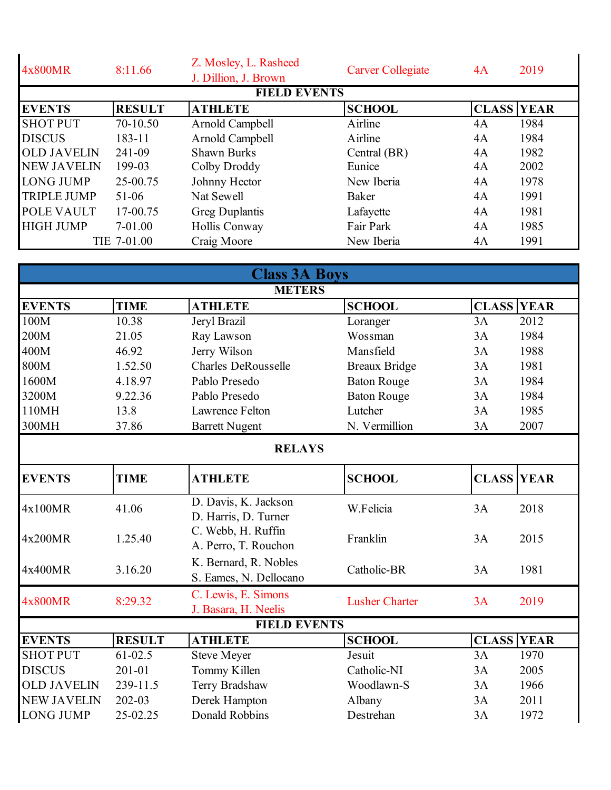| 4x800MR            | 8:11.66       | Z. Mosley, L. Rasheed<br>J. Dillion, J. Brown | <b>Carver Collegiate</b> | 4A | 2019              |
|--------------------|---------------|-----------------------------------------------|--------------------------|----|-------------------|
|                    |               | <b>FIELD EVENTS</b>                           |                          |    |                   |
| <b>EVENTS</b>      | <b>RESULT</b> | <b>ATHLETE</b>                                | <b>SCHOOL</b>            |    | <b>CLASS YEAR</b> |
| <b>SHOT PUT</b>    | 70-10.50      | Arnold Campbell                               | Airline                  | 4A | 1984              |
| <b>DISCUS</b>      | 183-11        | Arnold Campbell                               | Airline                  | 4A | 1984              |
| <b>OLD JAVELIN</b> | 241-09        | <b>Shawn Burks</b>                            | Central (BR)             | 4A | 1982              |
| <b>NEW JAVELIN</b> | 199-03        | Colby Droddy                                  | Eunice                   | 4A | 2002              |
| <b>LONG JUMP</b>   | 25-00.75      | Johnny Hector                                 | New Iberia               | 4A | 1978              |
| <b>TRIPLE JUMP</b> | 51-06         | Nat Sewell                                    | Baker                    | 4A | 1991              |
| <b>POLE VAULT</b>  | 17-00.75      | <b>Greg Duplantis</b>                         | Lafayette                | 4A | 1981              |
| <b>HIGH JUMP</b>   | $7-01.00$     | Hollis Conway                                 | Fair Park                | 4A | 1985              |
|                    | TIE 7-01.00   | Craig Moore                                   | New Iberia               | 4A | 1991              |

|                    |               | <b>Class 3A Boys</b>                            |                       |                   |             |
|--------------------|---------------|-------------------------------------------------|-----------------------|-------------------|-------------|
|                    |               | <b>METERS</b>                                   |                       |                   |             |
| <b>EVENTS</b>      | <b>TIME</b>   | <b>ATHLETE</b>                                  | <b>SCHOOL</b>         | <b>CLASS</b>      | <b>YEAR</b> |
| 100M               | 10.38         | Jeryl Brazil                                    | Loranger              | 3A                | 2012        |
| 200M               | 21.05         | Ray Lawson                                      | Wossman               | 3A                | 1984        |
| 400M               | 46.92         | Jerry Wilson                                    | Mansfield             | 3A                | 1988        |
| 800M               | 1.52.50       | <b>Charles DeRousselle</b>                      | <b>Breaux Bridge</b>  | 3A                | 1981        |
| 1600M              | 4.18.97       | Pablo Presedo                                   | <b>Baton Rouge</b>    | 3A                | 1984        |
| 3200M              | 9.22.36       | Pablo Presedo                                   | <b>Baton Rouge</b>    | 3A                | 1984        |
| 110MH              | 13.8          | Lawrence Felton                                 | Lutcher               | 3A                | 1985        |
| 300MH              | 37.86         | <b>Barrett Nugent</b>                           | N. Vermillion         | 3A                | 2007        |
|                    |               | <b>RELAYS</b>                                   |                       |                   |             |
| <b>EVENTS</b>      | <b>TIME</b>   | <b>ATHLETE</b>                                  | <b>SCHOOL</b>         | <b>CLASS YEAR</b> |             |
| 4x100MR            | 41.06         | D. Davis, K. Jackson<br>D. Harris, D. Turner    | W.Felicia             | 3A                | 2018        |
| 4x200MR            | 1.25.40       | C. Webb, H. Ruffin<br>A. Perro, T. Rouchon      | Franklin              | 3A                | 2015        |
| 4x400MR            | 3.16.20       | K. Bernard, R. Nobles<br>S. Eames, N. Dellocano | Catholic-BR           | 3A                | 1981        |
| <b>4x800MR</b>     | 8:29.32       | C. Lewis, E. Simons<br>J. Basara, H. Neelis     | <b>Lusher Charter</b> | 3A                | 2019        |
|                    |               | <b>FIELD EVENTS</b>                             |                       |                   |             |
| <b>EVENTS</b>      | <b>RESULT</b> | <b>ATHLETE</b>                                  | <b>SCHOOL</b>         | <b>CLASS</b>      | <b>YEAR</b> |
| <b>SHOT PUT</b>    | $61 - 02.5$   | <b>Steve Meyer</b>                              | Jesuit                | 3A                | 1970        |
| <b>DISCUS</b>      | 201-01        | Tommy Killen                                    | Catholic-NI           | 3A                | 2005        |
| <b>OLD JAVELIN</b> | 239-11.5      | Terry Bradshaw                                  | Woodlawn-S            | 3A                | 1966        |
| <b>NEW JAVELIN</b> | 202-03        | Derek Hampton                                   | Albany                | 3A                | 2011        |
| <b>LONG JUMP</b>   | 25-02.25      | <b>Donald Robbins</b>                           | Destrehan             | 3A                | 1972        |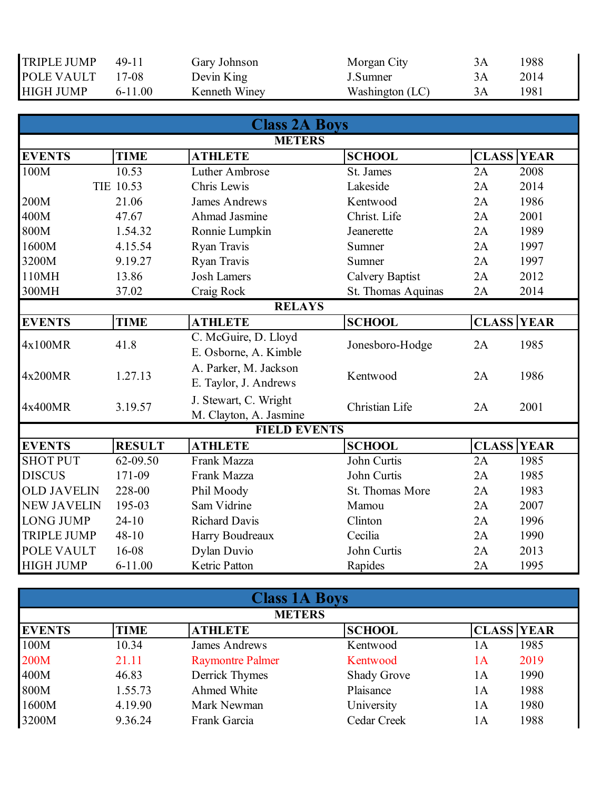| <b>TRIPLE JUMP</b> | 49-11     | Gary Johnson  | Morgan City     | 1988 |
|--------------------|-----------|---------------|-----------------|------|
| <b>POLE VAULT</b>  | 17-08     | Devin King    | J.Sumner        | 2014 |
| <b>HIGH JUMP</b>   | $6-11.00$ | Kenneth Winey | Washington (LC) | 1981 |

|                    |               | <b>Class 2A Boys</b>                            |                        |                   |      |  |  |
|--------------------|---------------|-------------------------------------------------|------------------------|-------------------|------|--|--|
|                    |               | <b>METERS</b>                                   |                        |                   |      |  |  |
| <b>EVENTS</b>      | <b>TIME</b>   | <b>ATHLETE</b>                                  | <b>SCHOOL</b>          | <b>CLASS YEAR</b> |      |  |  |
| 100M               | 10.53         | Luther Ambrose                                  | St. James              | 2A                | 2008 |  |  |
|                    | TIE 10.53     | Chris Lewis                                     | Lakeside               | 2A                | 2014 |  |  |
| 200M               | 21.06         | <b>James Andrews</b>                            | Kentwood               | 2A                | 1986 |  |  |
| 400M               | 47.67         | Ahmad Jasmine                                   | Christ. Life           | 2A                | 2001 |  |  |
| 800M               | 1.54.32       | Ronnie Lumpkin                                  | Jeanerette             | 2A                | 1989 |  |  |
| 1600M              | 4.15.54       | Ryan Travis                                     | Sumner                 | 2A                | 1997 |  |  |
| 3200M              | 9.19.27       | Ryan Travis                                     | Sumner                 | 2A                | 1997 |  |  |
| 110MH              | 13.86         | <b>Josh Lamers</b>                              | <b>Calvery Baptist</b> | 2A                | 2012 |  |  |
| 300MH              | 37.02         | Craig Rock                                      | St. Thomas Aquinas     | 2A                | 2014 |  |  |
| <b>RELAYS</b>      |               |                                                 |                        |                   |      |  |  |
| <b>EVENTS</b>      | <b>TIME</b>   | <b>ATHLETE</b>                                  | <b>SCHOOL</b>          | <b>CLASS YEAR</b> |      |  |  |
| 4x100MR            | 41.8          | C. McGuire, D. Lloyd<br>E. Osborne, A. Kimble   | Jonesboro-Hodge        | 2A                | 1985 |  |  |
| 4x200MR            | 1.27.13       | A. Parker, M. Jackson<br>E. Taylor, J. Andrews  | Kentwood               | 2A                | 1986 |  |  |
| 4x400MR            | 3.19.57       | J. Stewart, C. Wright<br>M. Clayton, A. Jasmine | Christian Life         | 2A                | 2001 |  |  |
|                    |               | <b>FIELD EVENTS</b>                             |                        |                   |      |  |  |
| <b>EVENTS</b>      | <b>RESULT</b> | <b>ATHLETE</b>                                  | <b>SCHOOL</b>          | <b>CLASS YEAR</b> |      |  |  |
| <b>SHOT PUT</b>    | 62-09.50      | Frank Mazza                                     | John Curtis            | 2A                | 1985 |  |  |
| <b>DISCUS</b>      | 171-09        | Frank Mazza                                     | John Curtis            | 2A                | 1985 |  |  |
| <b>OLD JAVELIN</b> | 228-00        | Phil Moody                                      | St. Thomas More        | 2A                | 1983 |  |  |
| <b>NEW JAVELIN</b> | 195-03        | Sam Vidrine                                     | Mamou                  | 2A                | 2007 |  |  |
| <b>LONG JUMP</b>   | $24 - 10$     | <b>Richard Davis</b>                            | Clinton                | 2A                | 1996 |  |  |
| <b>TRIPLE JUMP</b> | $48 - 10$     | Harry Boudreaux                                 | Cecilia                | 2A                | 1990 |  |  |
| POLE VAULT         | 16-08         | Dylan Duvio                                     | John Curtis            | 2A                | 2013 |  |  |
| <b>HIGH JUMP</b>   | $6 - 11.00$   | Ketric Patton                                   | Rapides                | 2A                | 1995 |  |  |

| <b>Class 1A Boys</b> |               |                         |                    |                   |  |  |  |
|----------------------|---------------|-------------------------|--------------------|-------------------|--|--|--|
|                      | <b>METERS</b> |                         |                    |                   |  |  |  |
| <b>EVENTS</b>        | <b>TIME</b>   | <b>ATHLETE</b>          | <b>SCHOOL</b>      | <b>CLASS YEAR</b> |  |  |  |
| 100M                 | 10.34         | James Andrews           | Kentwood           | 1985<br>1А        |  |  |  |
| 200M                 | 21.11         | <b>Raymontre Palmer</b> | Kentwood           | 2019<br>1A        |  |  |  |
| 400M                 | 46.83         | Derrick Thymes          | <b>Shady Grove</b> | 1990<br>1А        |  |  |  |
| 800M                 | 1.55.73       | Ahmed White             | Plaisance          | 1988<br>1А        |  |  |  |
| 1600M                | 4.19.90       | Mark Newman             | University         | 1980<br>1А        |  |  |  |
| 3200M                | 9.36.24       | Frank Garcia            | Cedar Creek        | 1988<br>1А        |  |  |  |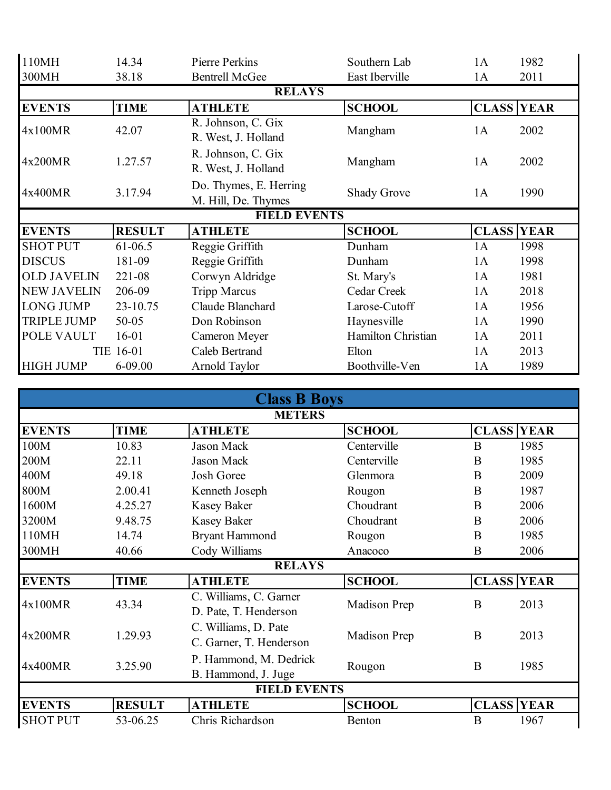| 110MH              | 14.34         | Pierre Perkins                                | Southern Lab       | 1A                | 1982 |
|--------------------|---------------|-----------------------------------------------|--------------------|-------------------|------|
| 300MH              | 38.18         | <b>Bentrell McGee</b>                         | East Iberville     | 1A                | 2011 |
|                    |               | <b>RELAYS</b>                                 |                    |                   |      |
| <b>EVENTS</b>      | <b>TIME</b>   | <b>ATHLETE</b>                                | <b>SCHOOL</b>      | <b>CLASS YEAR</b> |      |
| 4x100MR            | 42.07         | R. Johnson, C. Gix<br>R. West, J. Holland     | Mangham            | 1A                | 2002 |
| 4x200MR            | 1.27.57       | R. Johnson, C. Gix<br>R. West, J. Holland     | Mangham            | 1A                | 2002 |
| 4x400MR            | 3.17.94       | Do. Thymes, E. Herring<br>M. Hill, De. Thymes | <b>Shady Grove</b> | 1A                | 1990 |
|                    |               | <b>FIELD EVENTS</b>                           |                    |                   |      |
| <b>EVENTS</b>      | <b>RESULT</b> | <b>ATHLETE</b>                                | <b>SCHOOL</b>      | <b>CLASS YEAR</b> |      |
| <b>SHOT PUT</b>    | 61-06.5       | Reggie Griffith                               | Dunham             | 1A                | 1998 |
| <b>DISCUS</b>      | 181-09        | Reggie Griffith                               | Dunham             | 1A                | 1998 |
| <b>OLD JAVELIN</b> | 221-08        | Corwyn Aldridge                               | St. Mary's         | 1A                | 1981 |
| <b>NEW JAVELIN</b> | 206-09        | <b>Tripp Marcus</b>                           | Cedar Creek        | 1A                | 2018 |
| <b>LONG JUMP</b>   | 23-10.75      | Claude Blanchard                              | Larose-Cutoff      | 1A                | 1956 |
| <b>TRIPLE JUMP</b> | $50 - 05$     | Don Robinson                                  | Haynesville        | 1A                | 1990 |
| POLE VAULT         | $16 - 01$     | Cameron Meyer                                 | Hamilton Christian | 1A                | 2011 |
|                    | TIE 16-01     | Caleb Bertrand                                | Elton              | 1A                | 2013 |
| <b>HIGH JUMP</b>   | $6 - 09.00$   | Arnold Taylor                                 | Boothville-Ven     | 1A                | 1989 |

|                 |               | <b>Class B Boys</b>                             |               |                   |  |  |  |
|-----------------|---------------|-------------------------------------------------|---------------|-------------------|--|--|--|
| <b>METERS</b>   |               |                                                 |               |                   |  |  |  |
| <b>EVENTS</b>   | <b>TIME</b>   | <b>ATHLETE</b>                                  | <b>SCHOOL</b> | <b>CLASS YEAR</b> |  |  |  |
| 100M            | 10.83         | <b>Jason Mack</b>                               | Centerville   | 1985<br>B         |  |  |  |
| 200M            | 22.11         | <b>Jason Mack</b>                               | Centerville   | 1985<br>B         |  |  |  |
| 400M            | 49.18         | Josh Goree                                      | Glenmora      | 2009<br>B         |  |  |  |
| 800M            | 2.00.41       | Kenneth Joseph                                  | Rougon        | B<br>1987         |  |  |  |
| 1600M           | 4.25.27       | <b>Kasey Baker</b>                              | Choudrant     | 2006<br>B         |  |  |  |
| 3200M           | 9.48.75       | <b>Kasey Baker</b>                              | Choudrant     | 2006<br>B         |  |  |  |
| 110MH           | 14.74         | <b>Bryant Hammond</b>                           | Rougon        | 1985<br>B         |  |  |  |
| 300MH           | 40.66         | Cody Williams                                   | Anacoco       | B<br>2006         |  |  |  |
|                 |               | <b>RELAYS</b>                                   |               |                   |  |  |  |
| <b>EVENTS</b>   | <b>TIME</b>   | <b>ATHLETE</b>                                  | <b>SCHOOL</b> | <b>CLASS YEAR</b> |  |  |  |
| 4x100MR         | 43.34         | C. Williams, C. Garner<br>D. Pate, T. Henderson | Madison Prep  | 2013<br>B         |  |  |  |
| 4x200MR         | 1.29.93       | C. Williams, D. Pate<br>C. Garner, T. Henderson | Madison Prep  | 2013<br>B         |  |  |  |
| 4x400MR         | 3.25.90       | P. Hammond, M. Dedrick<br>B. Hammond, J. Juge   | Rougon        | B<br>1985         |  |  |  |
|                 |               | <b>FIELD EVENTS</b>                             |               |                   |  |  |  |
| <b>EVENTS</b>   | <b>RESULT</b> | <b>ATHLETE</b>                                  | <b>SCHOOL</b> | <b>CLASS YEAR</b> |  |  |  |
| <b>SHOT PUT</b> | 53-06.25      | Chris Richardson                                | Benton        | B<br>1967         |  |  |  |